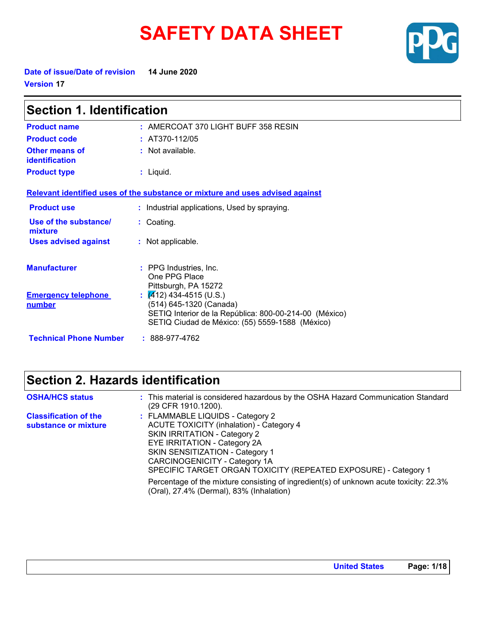# **SAFETY DATA SHEET**



**Date of issue/Date of revision 14 June 2020 Version 17**

| <b>Section 1. Identification</b>                  |                                                                                                                                      |  |
|---------------------------------------------------|--------------------------------------------------------------------------------------------------------------------------------------|--|
| <b>Product name</b>                               | $:$ AMERCOAT 370 LIGHT BUFF 358 RESIN                                                                                                |  |
| <b>Product code</b>                               | $: AT370-112/05$                                                                                                                     |  |
| Other means of<br><b>identification</b>           | $:$ Not available.                                                                                                                   |  |
| <b>Product type</b>                               | $:$ Liquid.                                                                                                                          |  |
|                                                   | Relevant identified uses of the substance or mixture and uses advised against                                                        |  |
| <b>Product use</b>                                | : Industrial applications, Used by spraying.                                                                                         |  |
| Use of the substance/<br>mixture                  | : Coating.                                                                                                                           |  |
| <b>Uses advised against</b>                       | : Not applicable.                                                                                                                    |  |
| <b>Manufacturer</b><br><b>Emergency telephone</b> | : PPG Industries, Inc.<br>One PPG Place<br>Pittsburgh, PA 15272<br>$\frac{1}{2}$ (412) 434-4515 (U.S.)                               |  |
| number                                            | (514) 645-1320 (Canada)<br>SETIQ Interior de la República: 800-00-214-00 (México)<br>SETIQ Ciudad de México: (55) 5559-1588 (México) |  |
| <b>Technical Phone Number</b>                     | $: 888-977-4762$                                                                                                                     |  |

## **Section 2. Hazards identification**

| <b>OSHA/HCS status</b>                               | : This material is considered hazardous by the OSHA Hazard Communication Standard<br>(29 CFR 1910.1200).                                                                                                                                                                                                 |
|------------------------------------------------------|----------------------------------------------------------------------------------------------------------------------------------------------------------------------------------------------------------------------------------------------------------------------------------------------------------|
| <b>Classification of the</b><br>substance or mixture | : FLAMMABLE LIQUIDS - Category 2<br><b>ACUTE TOXICITY (inhalation) - Category 4</b><br><b>SKIN IRRITATION - Category 2</b><br>EYE IRRITATION - Category 2A<br><b>SKIN SENSITIZATION - Category 1</b><br>CARCINOGENICITY - Category 1A<br>SPECIFIC TARGET ORGAN TOXICITY (REPEATED EXPOSURE) - Category 1 |
|                                                      | Percentage of the mixture consisting of ingredient(s) of unknown acute toxicity: 22.3%<br>(Oral), 27.4% (Dermal), 83% (Inhalation)                                                                                                                                                                       |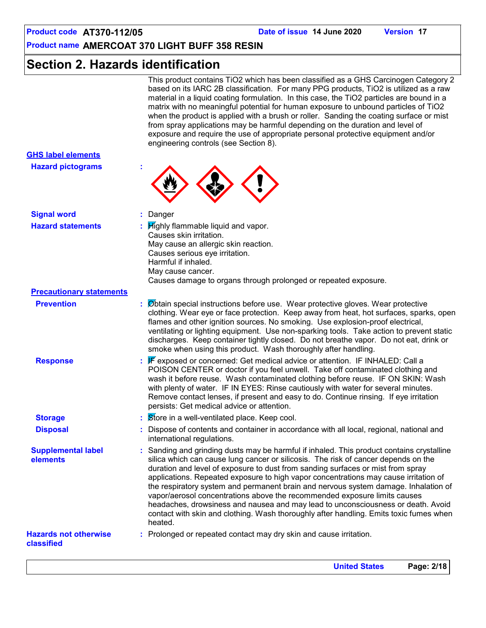## **Section 2. Hazards identification**

This product contains TiO2 which has been classified as a GHS Carcinogen Category 2 based on its IARC 2B classification. For many PPG products, TiO2 is utilized as a raw material in a liquid coating formulation. In this case, the TiO2 particles are bound in a matrix with no meaningful potential for human exposure to unbound particles of TiO2 when the product is applied with a brush or roller. Sanding the coating surface or mist from spray applications may be harmful depending on the duration and level of exposure and require the use of appropriate personal protective equipment and/or engineering controls (see Section 8).

| <b>GHS label elements</b>                  |                                                                                                                                                                                                                                                                                                                                                                                                                                                                                                                                                                                                                                                                                                                         |
|--------------------------------------------|-------------------------------------------------------------------------------------------------------------------------------------------------------------------------------------------------------------------------------------------------------------------------------------------------------------------------------------------------------------------------------------------------------------------------------------------------------------------------------------------------------------------------------------------------------------------------------------------------------------------------------------------------------------------------------------------------------------------------|
| <b>Hazard pictograms</b>                   |                                                                                                                                                                                                                                                                                                                                                                                                                                                                                                                                                                                                                                                                                                                         |
| <b>Signal word</b>                         | : Danger                                                                                                                                                                                                                                                                                                                                                                                                                                                                                                                                                                                                                                                                                                                |
| <b>Hazard statements</b>                   | $\frac{1}{2}$ $\frac{1}{2}$ $\frac{1}{2}$ $\frac{1}{2}$ $\frac{1}{2}$ $\frac{1}{2}$ $\frac{1}{2}$ $\frac{1}{2}$ $\frac{1}{2}$ $\frac{1}{2}$ $\frac{1}{2}$ $\frac{1}{2}$ $\frac{1}{2}$ $\frac{1}{2}$ $\frac{1}{2}$ $\frac{1}{2}$ $\frac{1}{2}$ $\frac{1}{2}$ $\frac{1}{2}$ $\frac{1}{2}$ $\frac{1}{2}$ $\frac{1}{2}$<br>Causes skin irritation.<br>May cause an allergic skin reaction.<br>Causes serious eye irritation.<br>Harmful if inhaled.<br>May cause cancer.<br>Causes damage to organs through prolonged or repeated exposure.                                                                                                                                                                                 |
| <b>Precautionary statements</b>            |                                                                                                                                                                                                                                                                                                                                                                                                                                                                                                                                                                                                                                                                                                                         |
| <b>Prevention</b>                          | : Øbtain special instructions before use. Wear protective gloves. Wear protective<br>clothing. Wear eye or face protection. Keep away from heat, hot surfaces, sparks, open<br>flames and other ignition sources. No smoking. Use explosion-proof electrical,<br>ventilating or lighting equipment. Use non-sparking tools. Take action to prevent static<br>discharges. Keep container tightly closed. Do not breathe vapor. Do not eat, drink or<br>smoke when using this product. Wash thoroughly after handling.                                                                                                                                                                                                    |
| <b>Response</b>                            | : F exposed or concerned: Get medical advice or attention. IF INHALED: Call a<br>POISON CENTER or doctor if you feel unwell. Take off contaminated clothing and<br>wash it before reuse. Wash contaminated clothing before reuse. IF ON SKIN: Wash<br>with plenty of water. IF IN EYES: Rinse cautiously with water for several minutes.<br>Remove contact lenses, if present and easy to do. Continue rinsing. If eye irritation<br>persists: Get medical advice or attention.                                                                                                                                                                                                                                         |
| <b>Storage</b>                             | : Store in a well-ventilated place. Keep cool.                                                                                                                                                                                                                                                                                                                                                                                                                                                                                                                                                                                                                                                                          |
| <b>Disposal</b>                            | : Dispose of contents and container in accordance with all local, regional, national and<br>international regulations.                                                                                                                                                                                                                                                                                                                                                                                                                                                                                                                                                                                                  |
| <b>Supplemental label</b><br>elements      | : Sanding and grinding dusts may be harmful if inhaled. This product contains crystalline<br>silica which can cause lung cancer or silicosis. The risk of cancer depends on the<br>duration and level of exposure to dust from sanding surfaces or mist from spray<br>applications. Repeated exposure to high vapor concentrations may cause irritation of<br>the respiratory system and permanent brain and nervous system damage. Inhalation of<br>vapor/aerosol concentrations above the recommended exposure limits causes<br>headaches, drowsiness and nausea and may lead to unconsciousness or death. Avoid<br>contact with skin and clothing. Wash thoroughly after handling. Emits toxic fumes when<br>heated. |
| <b>Hazards not otherwise</b><br>classified | : Prolonged or repeated contact may dry skin and cause irritation.                                                                                                                                                                                                                                                                                                                                                                                                                                                                                                                                                                                                                                                      |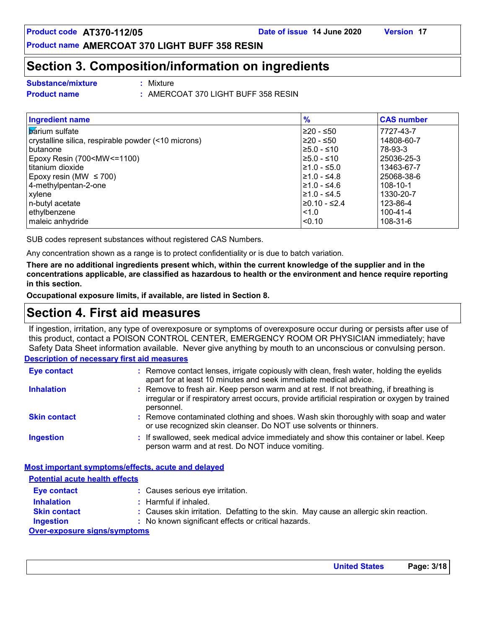## **Section 3. Composition/information on ingredients**

**Substance/mixture :**

Mixture

**Product name :** AMERCOAT 370 LIGHT BUFF 358 RESIN

| <b>Ingredient name</b>                                                                                  | $\frac{9}{6}$         | <b>CAS number</b> |
|---------------------------------------------------------------------------------------------------------|-----------------------|-------------------|
| <b>b</b> arium sulfate                                                                                  | I≥20 - ≤50            | 7727-43-7         |
| crystalline silica, respirable powder (<10 microns)                                                     | I≥20 - ≤50            | 14808-60-7        |
| I butanone                                                                                              | $\geq 5.0 - 510$      | 78-93-3           |
| Epoxy Resin (700 <mw<=1100)< td=""><td><math>\geq 5.0 - 510</math></td><td>25036-25-3</td></mw<=1100)<> | $\geq 5.0 - 510$      | 25036-25-3        |
| l titanium dioxide                                                                                      | l≥1.0 - ≤5.0          | 13463-67-7        |
| Epoxy resin (MW $\leq$ 700)                                                                             | $\geq 1.0 - \leq 4.8$ | 25068-38-6        |
| 4-methylpentan-2-one                                                                                    | $\geq 1.0 - 54.6$     | 108-10-1          |
| xylene                                                                                                  | $\geq 1.0 - \leq 4.5$ | 1330-20-7         |
| n-butyl acetate                                                                                         | 20.10 - ≤2.4          | 123-86-4          |
| ethylbenzene                                                                                            | $ $ < 1.0             | $100 - 41 - 4$    |
| maleic anhydride                                                                                        | <sub>0.10</sub>       | 108-31-6          |

SUB codes represent substances without registered CAS Numbers.

Any concentration shown as a range is to protect confidentiality or is due to batch variation.

**There are no additional ingredients present which, within the current knowledge of the supplier and in the concentrations applicable, are classified as hazardous to health or the environment and hence require reporting in this section.**

**Occupational exposure limits, if available, are listed in Section 8.**

## **Section 4. First aid measures**

If ingestion, irritation, any type of overexposure or symptoms of overexposure occur during or persists after use of this product, contact a POISON CONTROL CENTER, EMERGENCY ROOM OR PHYSICIAN immediately; have Safety Data Sheet information available. Never give anything by mouth to an unconscious or convulsing person.

#### **Description of necessary first aid measures**

| <b>Eye contact</b>  | : Remove contact lenses, irrigate copiously with clean, fresh water, holding the eyelids<br>apart for at least 10 minutes and seek immediate medical advice.                                           |
|---------------------|--------------------------------------------------------------------------------------------------------------------------------------------------------------------------------------------------------|
| <b>Inhalation</b>   | : Remove to fresh air. Keep person warm and at rest. If not breathing, if breathing is<br>irregular or if respiratory arrest occurs, provide artificial respiration or oxygen by trained<br>personnel. |
| <b>Skin contact</b> | : Remove contaminated clothing and shoes. Wash skin thoroughly with soap and water<br>or use recognized skin cleanser. Do NOT use solvents or thinners.                                                |
| <b>Ingestion</b>    | : If swallowed, seek medical advice immediately and show this container or label. Keep<br>person warm and at rest. Do NOT induce vomiting.                                                             |

#### **Most important symptoms/effects, acute and delayed**

**Potential acute health effects**

| <b>Eye contact</b>                  | : Causes serious eye irritation.                                                      |
|-------------------------------------|---------------------------------------------------------------------------------------|
| <b>Inhalation</b>                   | $\therefore$ Harmful if inhaled.                                                      |
| <b>Skin contact</b>                 | : Causes skin irritation. Defatting to the skin. May cause an allergic skin reaction. |
| <b>Ingestion</b>                    | : No known significant effects or critical hazards.                                   |
| <b>Over-exposure signs/symptoms</b> |                                                                                       |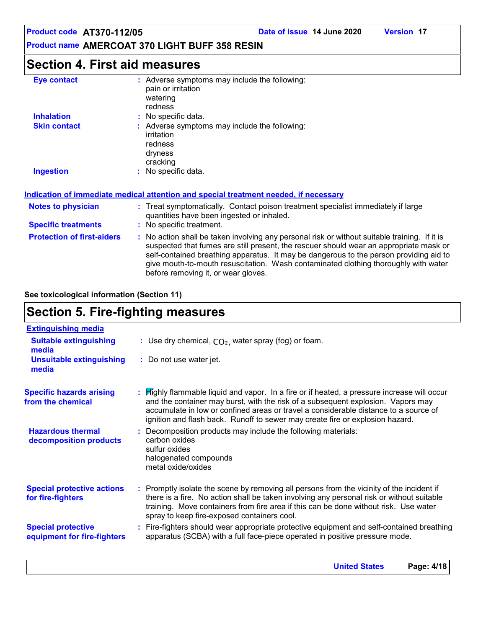#### **Product name AMERCOAT 370 LIGHT BUFF 358 RESIN**

## **Section 4. First aid measures**

| <b>Eye contact</b>  | : Adverse symptoms may include the following:<br>pain or irritation<br>watering<br>redness    |
|---------------------|-----------------------------------------------------------------------------------------------|
| <b>Inhalation</b>   | : No specific data.                                                                           |
| <b>Skin contact</b> | : Adverse symptoms may include the following:<br>irritation<br>redness<br>dryness<br>cracking |
| <b>Ingestion</b>    | : No specific data.                                                                           |

#### **Indication of immediate medical attention and special treatment needed, if necessary**

| <b>Notes to physician</b>         | : Treat symptomatically. Contact poison treatment specialist immediately if large<br>quantities have been ingested or inhaled.                                                                                                                                                                                                                                                                                  |
|-----------------------------------|-----------------------------------------------------------------------------------------------------------------------------------------------------------------------------------------------------------------------------------------------------------------------------------------------------------------------------------------------------------------------------------------------------------------|
| <b>Specific treatments</b>        | : No specific treatment.                                                                                                                                                                                                                                                                                                                                                                                        |
| <b>Protection of first-aiders</b> | : No action shall be taken involving any personal risk or without suitable training. If it is<br>suspected that fumes are still present, the rescuer should wear an appropriate mask or<br>self-contained breathing apparatus. It may be dangerous to the person providing aid to<br>give mouth-to-mouth resuscitation. Wash contaminated clothing thoroughly with water<br>before removing it, or wear gloves. |

#### **See toxicological information (Section 11)**

## **Section 5. Fire-fighting measures**

| <b>Extinguishing media</b>                               |                                                                                                                                                                                                                                                                                                                                                          |
|----------------------------------------------------------|----------------------------------------------------------------------------------------------------------------------------------------------------------------------------------------------------------------------------------------------------------------------------------------------------------------------------------------------------------|
| <b>Suitable extinguishing</b><br>media                   | : Use dry chemical, $CO2$ , water spray (fog) or foam.                                                                                                                                                                                                                                                                                                   |
| <b>Unsuitable extinguishing</b><br>media                 | : Do not use water jet.                                                                                                                                                                                                                                                                                                                                  |
| <b>Specific hazards arising</b><br>from the chemical     | : Highly flammable liquid and vapor. In a fire or if heated, a pressure increase will occur<br>and the container may burst, with the risk of a subsequent explosion. Vapors may<br>accumulate in low or confined areas or travel a considerable distance to a source of<br>ignition and flash back. Runoff to sewer may create fire or explosion hazard. |
| <b>Hazardous thermal</b><br>decomposition products       | Decomposition products may include the following materials:<br>carbon oxides<br>sulfur oxides<br>halogenated compounds<br>metal oxide/oxides                                                                                                                                                                                                             |
| <b>Special protective actions</b><br>for fire-fighters   | : Promptly isolate the scene by removing all persons from the vicinity of the incident if<br>there is a fire. No action shall be taken involving any personal risk or without suitable<br>training. Move containers from fire area if this can be done without risk. Use water<br>spray to keep fire-exposed containers cool.                            |
| <b>Special protective</b><br>equipment for fire-fighters | : Fire-fighters should wear appropriate protective equipment and self-contained breathing<br>apparatus (SCBA) with a full face-piece operated in positive pressure mode.                                                                                                                                                                                 |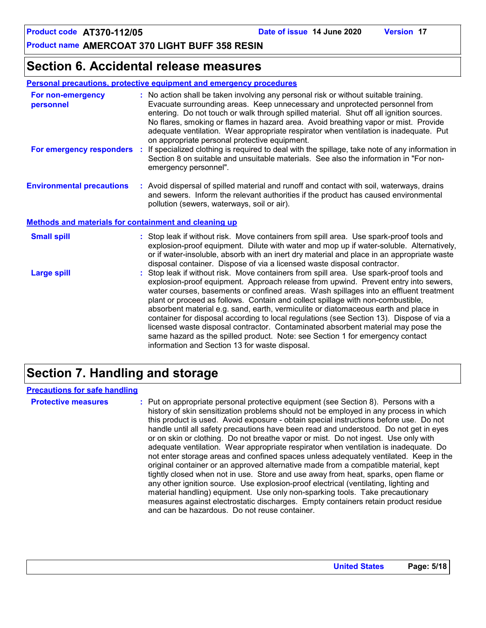## **Section 6. Accidental release measures**

**Personal precautions, protective equipment and emergency procedures**

| For non-emergency<br>personnel                        | : No action shall be taken involving any personal risk or without suitable training.<br>Evacuate surrounding areas. Keep unnecessary and unprotected personnel from<br>entering. Do not touch or walk through spilled material. Shut off all ignition sources.<br>No flares, smoking or flames in hazard area. Avoid breathing vapor or mist. Provide<br>adequate ventilation. Wear appropriate respirator when ventilation is inadequate. Put<br>on appropriate personal protective equipment. |
|-------------------------------------------------------|-------------------------------------------------------------------------------------------------------------------------------------------------------------------------------------------------------------------------------------------------------------------------------------------------------------------------------------------------------------------------------------------------------------------------------------------------------------------------------------------------|
| For emergency responders                              | : If specialized clothing is required to deal with the spillage, take note of any information in<br>Section 8 on suitable and unsuitable materials. See also the information in "For non-<br>emergency personnel".                                                                                                                                                                                                                                                                              |
| <b>Environmental precautions</b>                      | : Avoid dispersal of spilled material and runoff and contact with soil, waterways, drains<br>and sewers. Inform the relevant authorities if the product has caused environmental<br>pollution (sewers, waterways, soil or air).                                                                                                                                                                                                                                                                 |
| Methods and materials for containment and cleaning up |                                                                                                                                                                                                                                                                                                                                                                                                                                                                                                 |
| <b>Small spill</b>                                    | : Stop leak if without risk. Move containers from spill area. Use spark-proof tools and<br>explosion-proof equipment. Dilute with water and mop up if water-soluble. Alternatively,                                                                                                                                                                                                                                                                                                             |

|                    | or if water-insoluble, absorb with an inert dry material and place in an appropriate waste<br>disposal container. Dispose of via a licensed waste disposal contractor.                                                                                                                                                                                                                                                                                                                                                                                                                                                                                                                                                                                               |
|--------------------|----------------------------------------------------------------------------------------------------------------------------------------------------------------------------------------------------------------------------------------------------------------------------------------------------------------------------------------------------------------------------------------------------------------------------------------------------------------------------------------------------------------------------------------------------------------------------------------------------------------------------------------------------------------------------------------------------------------------------------------------------------------------|
| <b>Large spill</b> | : Stop leak if without risk. Move containers from spill area. Use spark-proof tools and<br>explosion-proof equipment. Approach release from upwind. Prevent entry into sewers,<br>water courses, basements or confined areas. Wash spillages into an effluent treatment<br>plant or proceed as follows. Contain and collect spillage with non-combustible,<br>absorbent material e.g. sand, earth, vermiculite or diatomaceous earth and place in<br>container for disposal according to local regulations (see Section 13). Dispose of via a<br>licensed waste disposal contractor. Contaminated absorbent material may pose the<br>same hazard as the spilled product. Note: see Section 1 for emergency contact<br>information and Section 13 for waste disposal. |

## **Section 7. Handling and storage**

#### **Precautions for safe handling**

**Protective measures the C**: Put on appropriate personal protective equipment (see Section 8). Persons with a **Protes** history of skin sensitization problems should not be employed in any process in which this product is used. Avoid exposure - obtain special instructions before use. Do not handle until all safety precautions have been read and understood. Do not get in eyes or on skin or clothing. Do not breathe vapor or mist. Do not ingest. Use only with adequate ventilation. Wear appropriate respirator when ventilation is inadequate. Do not enter storage areas and confined spaces unless adequately ventilated. Keep in the original container or an approved alternative made from a compatible material, kept tightly closed when not in use. Store and use away from heat, sparks, open flame or any other ignition source. Use explosion-proof electrical (ventilating, lighting and material handling) equipment. Use only non-sparking tools. Take precautionary measures against electrostatic discharges. Empty containers retain product residue and can be hazardous. Do not reuse container.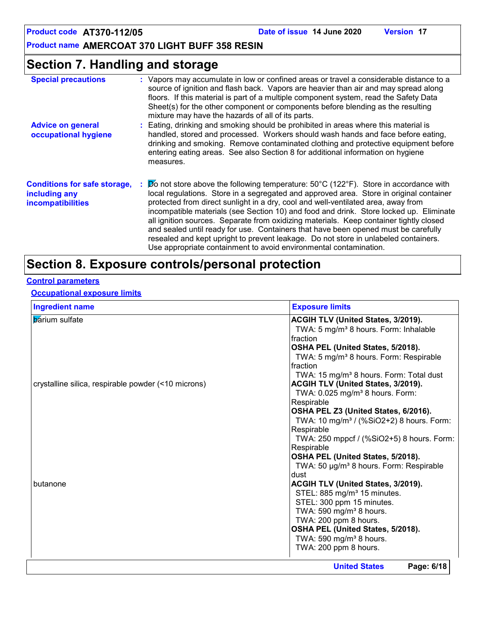**Product name AMERCOAT 370 LIGHT BUFF 358 RESIN**

## **Section 7. Handling and storage**

| <b>Special precautions</b>                                                | : Vapors may accumulate in low or confined areas or travel a considerable distance to a<br>source of ignition and flash back. Vapors are heavier than air and may spread along<br>floors. If this material is part of a multiple component system, read the Safety Data<br>Sheet(s) for the other component or components before blending as the resulting<br>mixture may have the hazards of all of its parts.                                                                                                                                                                                                                                                                                                      |
|---------------------------------------------------------------------------|----------------------------------------------------------------------------------------------------------------------------------------------------------------------------------------------------------------------------------------------------------------------------------------------------------------------------------------------------------------------------------------------------------------------------------------------------------------------------------------------------------------------------------------------------------------------------------------------------------------------------------------------------------------------------------------------------------------------|
| <b>Advice on general</b><br>occupational hygiene                          | : Eating, drinking and smoking should be prohibited in areas where this material is<br>handled, stored and processed. Workers should wash hands and face before eating,<br>drinking and smoking. Remove contaminated clothing and protective equipment before<br>entering eating areas. See also Section 8 for additional information on hygiene<br>measures.                                                                                                                                                                                                                                                                                                                                                        |
| <b>Conditions for safe storage,</b><br>including any<br>incompatibilities | $\cancel{p}$ not store above the following temperature: 50°C (122°F). Store in accordance with<br>local regulations. Store in a segregated and approved area. Store in original container<br>protected from direct sunlight in a dry, cool and well-ventilated area, away from<br>incompatible materials (see Section 10) and food and drink. Store locked up. Eliminate<br>all ignition sources. Separate from oxidizing materials. Keep container tightly closed<br>and sealed until ready for use. Containers that have been opened must be carefully<br>resealed and kept upright to prevent leakage. Do not store in unlabeled containers.<br>Use appropriate containment to avoid environmental contamination. |

## **Section 8. Exposure controls/personal protection**

#### **Control parameters**

#### **Occupational exposure limits**

| <b>Ingredient name</b>                              | <b>Exposure limits</b>                               |
|-----------------------------------------------------|------------------------------------------------------|
| <b>b</b> arium sulfate                              | ACGIH TLV (United States, 3/2019).                   |
|                                                     | TWA: 5 mg/m <sup>3</sup> 8 hours. Form: Inhalable    |
|                                                     | fraction                                             |
|                                                     | OSHA PEL (United States, 5/2018).                    |
|                                                     | TWA: 5 mg/m <sup>3</sup> 8 hours. Form: Respirable   |
|                                                     | fraction                                             |
|                                                     | TWA: 15 mg/m <sup>3</sup> 8 hours. Form: Total dust  |
| crystalline silica, respirable powder (<10 microns) | ACGIH TLV (United States, 3/2019).                   |
|                                                     | TWA: $0.025$ mg/m <sup>3</sup> 8 hours. Form:        |
|                                                     | Respirable                                           |
|                                                     | OSHA PEL Z3 (United States, 6/2016).                 |
|                                                     | TWA: 10 mg/m <sup>3</sup> / (%SiO2+2) 8 hours. Form: |
|                                                     | Respirable                                           |
|                                                     | TWA: 250 mppcf / (%SiO2+5) 8 hours. Form:            |
|                                                     | Respirable                                           |
|                                                     | OSHA PEL (United States, 5/2018).                    |
|                                                     | TWA: 50 µg/m <sup>3</sup> 8 hours. Form: Respirable  |
|                                                     | dust                                                 |
| butanone                                            | ACGIH TLV (United States, 3/2019).                   |
|                                                     | STEL: 885 mg/m <sup>3</sup> 15 minutes.              |
|                                                     | STEL: 300 ppm 15 minutes.                            |
|                                                     | TWA: 590 mg/m <sup>3</sup> 8 hours.                  |
|                                                     | TWA: 200 ppm 8 hours.                                |
|                                                     | OSHA PEL (United States, 5/2018).                    |
|                                                     | TWA: 590 mg/m <sup>3</sup> 8 hours.                  |
|                                                     | TWA: 200 ppm 8 hours.                                |
|                                                     | Page: 6/18<br><b>United States</b>                   |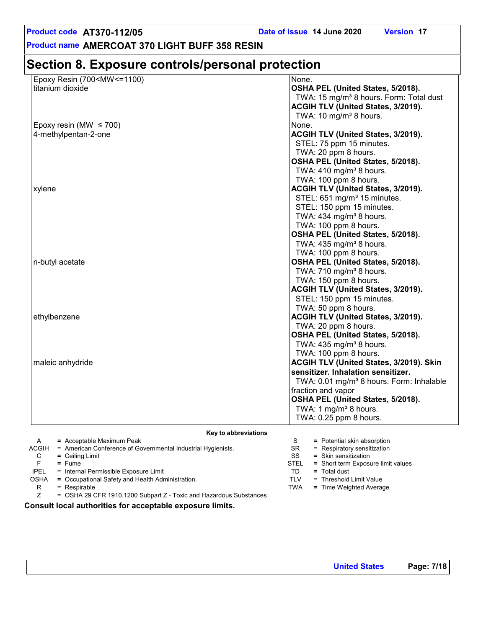**Product name AMERCOAT 370 LIGHT BUFF 358 RESIN**

## **Section 8. Exposure controls/personal protection**

| Epoxy Resin (700 <mw<=1100)< th=""><th>None.</th></mw<=1100)<> | None.                                                |
|----------------------------------------------------------------|------------------------------------------------------|
| titanium dioxide                                               | OSHA PEL (United States, 5/2018).                    |
|                                                                | TWA: 15 mg/m <sup>3</sup> 8 hours. Form: Total dust  |
|                                                                | <b>ACGIH TLV (United States, 3/2019).</b>            |
|                                                                | TWA: 10 mg/m <sup>3</sup> 8 hours.                   |
| Epoxy resin (MW $\leq$ 700)                                    | None.                                                |
| 4-methylpentan-2-one                                           | <b>ACGIH TLV (United States, 3/2019).</b>            |
|                                                                | STEL: 75 ppm 15 minutes.                             |
|                                                                | TWA: 20 ppm 8 hours.                                 |
|                                                                | OSHA PEL (United States, 5/2018).                    |
|                                                                | TWA: $410$ mg/m <sup>3</sup> 8 hours.                |
|                                                                | TWA: 100 ppm 8 hours.                                |
| xylene                                                         | <b>ACGIH TLV (United States, 3/2019).</b>            |
|                                                                | STEL: 651 mg/m <sup>3</sup> 15 minutes.              |
|                                                                | STEL: 150 ppm 15 minutes.                            |
|                                                                | TWA: 434 mg/m <sup>3</sup> 8 hours.                  |
|                                                                | TWA: 100 ppm 8 hours.                                |
|                                                                | OSHA PEL (United States, 5/2018).                    |
|                                                                | TWA: 435 mg/m <sup>3</sup> 8 hours.                  |
|                                                                | TWA: 100 ppm 8 hours.                                |
| n-butyl acetate                                                | OSHA PEL (United States, 5/2018).                    |
|                                                                | TWA: 710 mg/m <sup>3</sup> 8 hours.                  |
|                                                                | TWA: 150 ppm 8 hours.                                |
|                                                                | <b>ACGIH TLV (United States, 3/2019).</b>            |
|                                                                | STEL: 150 ppm 15 minutes.                            |
|                                                                | TWA: 50 ppm 8 hours.                                 |
| ethylbenzene                                                   | <b>ACGIH TLV (United States, 3/2019).</b>            |
|                                                                | TWA: 20 ppm 8 hours.                                 |
|                                                                | OSHA PEL (United States, 5/2018).                    |
|                                                                | TWA: 435 mg/m <sup>3</sup> 8 hours.                  |
|                                                                | TWA: 100 ppm 8 hours.                                |
| maleic anhydride                                               | <b>ACGIH TLV (United States, 3/2019). Skin</b>       |
|                                                                | sensitizer. Inhalation sensitizer.                   |
|                                                                | TWA: 0.01 mg/m <sup>3</sup> 8 hours. Form: Inhalable |
|                                                                | fraction and vapor                                   |
|                                                                | OSHA PEL (United States, 5/2018).                    |
|                                                                | TWA: 1 mg/m <sup>3</sup> 8 hours.                    |
|                                                                | TWA: 0.25 ppm 8 hours.                               |
|                                                                |                                                      |

**Key to abbreviations**

|             | $=$ Acceptable Maximum Peak                                        |           | $=$ Potential skin absorption      |
|-------------|--------------------------------------------------------------------|-----------|------------------------------------|
| ACGIH       | = American Conference of Governmental Industrial Hygienists.       | <b>SR</b> | $=$ Respiratory sensitization      |
| C           | $=$ Ceiling Limit                                                  | SS        | $=$ Skin sensitization             |
|             | $=$ Fume                                                           | STEL      | = Short term Exposure limit values |
| <b>IPEL</b> | = Internal Permissible Exposure Limit                              | TD        | $=$ Total dust                     |
| <b>OSHA</b> | = Occupational Safety and Health Administration.                   | TLV       | = Threshold Limit Value            |
| R           | $=$ Respirable                                                     | TWA       | $=$ Time Weighted Average          |
|             | = OSHA 29 CFR 1910.1200 Subpart Z - Toxic and Hazardous Substances |           |                                    |

**Consult local authorities for acceptable exposure limits.**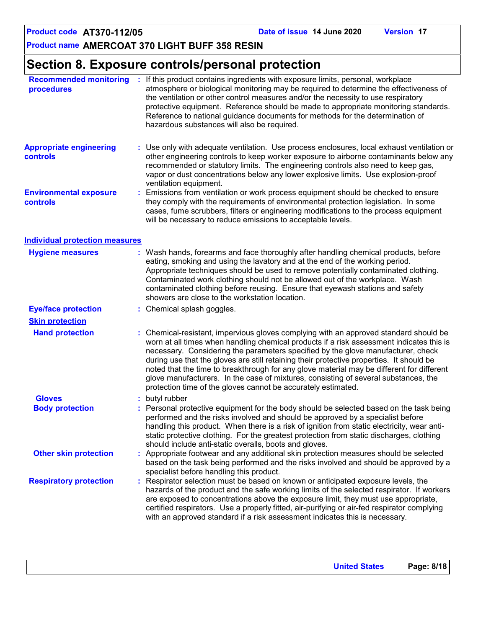## **Section 8. Exposure controls/personal protection**

| <b>Recommended monitoring</b><br>procedures |    | : If this product contains ingredients with exposure limits, personal, workplace<br>atmosphere or biological monitoring may be required to determine the effectiveness of<br>the ventilation or other control measures and/or the necessity to use respiratory<br>protective equipment. Reference should be made to appropriate monitoring standards.<br>Reference to national guidance documents for methods for the determination of<br>hazardous substances will also be required.                                                                                                                                |
|---------------------------------------------|----|----------------------------------------------------------------------------------------------------------------------------------------------------------------------------------------------------------------------------------------------------------------------------------------------------------------------------------------------------------------------------------------------------------------------------------------------------------------------------------------------------------------------------------------------------------------------------------------------------------------------|
| <b>Appropriate engineering</b><br>controls  |    | : Use only with adequate ventilation. Use process enclosures, local exhaust ventilation or<br>other engineering controls to keep worker exposure to airborne contaminants below any<br>recommended or statutory limits. The engineering controls also need to keep gas,<br>vapor or dust concentrations below any lower explosive limits. Use explosion-proof<br>ventilation equipment.                                                                                                                                                                                                                              |
| <b>Environmental exposure</b><br>controls   | ÷. | Emissions from ventilation or work process equipment should be checked to ensure<br>they comply with the requirements of environmental protection legislation. In some<br>cases, fume scrubbers, filters or engineering modifications to the process equipment<br>will be necessary to reduce emissions to acceptable levels.                                                                                                                                                                                                                                                                                        |
| <b>Individual protection measures</b>       |    |                                                                                                                                                                                                                                                                                                                                                                                                                                                                                                                                                                                                                      |
| <b>Hygiene measures</b>                     |    | : Wash hands, forearms and face thoroughly after handling chemical products, before<br>eating, smoking and using the lavatory and at the end of the working period.<br>Appropriate techniques should be used to remove potentially contaminated clothing.<br>Contaminated work clothing should not be allowed out of the workplace. Wash<br>contaminated clothing before reusing. Ensure that eyewash stations and safety<br>showers are close to the workstation location.                                                                                                                                          |
| <b>Eye/face protection</b>                  |    | : Chemical splash goggles.                                                                                                                                                                                                                                                                                                                                                                                                                                                                                                                                                                                           |
| <b>Skin protection</b>                      |    |                                                                                                                                                                                                                                                                                                                                                                                                                                                                                                                                                                                                                      |
| <b>Hand protection</b>                      |    | Chemical-resistant, impervious gloves complying with an approved standard should be<br>worn at all times when handling chemical products if a risk assessment indicates this is<br>necessary. Considering the parameters specified by the glove manufacturer, check<br>during use that the gloves are still retaining their protective properties. It should be<br>noted that the time to breakthrough for any glove material may be different for different<br>glove manufacturers. In the case of mixtures, consisting of several substances, the<br>protection time of the gloves cannot be accurately estimated. |
| <b>Gloves</b>                               |    | butyl rubber                                                                                                                                                                                                                                                                                                                                                                                                                                                                                                                                                                                                         |
| <b>Body protection</b>                      |    | : Personal protective equipment for the body should be selected based on the task being<br>performed and the risks involved and should be approved by a specialist before<br>handling this product. When there is a risk of ignition from static electricity, wear anti-<br>static protective clothing. For the greatest protection from static discharges, clothing<br>should include anti-static overalls, boots and gloves.                                                                                                                                                                                       |
| <b>Other skin protection</b>                |    | : Appropriate footwear and any additional skin protection measures should be selected<br>based on the task being performed and the risks involved and should be approved by a<br>specialist before handling this product.                                                                                                                                                                                                                                                                                                                                                                                            |
| <b>Respiratory protection</b>               |    | Respirator selection must be based on known or anticipated exposure levels, the<br>hazards of the product and the safe working limits of the selected respirator. If workers<br>are exposed to concentrations above the exposure limit, they must use appropriate,<br>certified respirators. Use a properly fitted, air-purifying or air-fed respirator complying<br>with an approved standard if a risk assessment indicates this is necessary.                                                                                                                                                                     |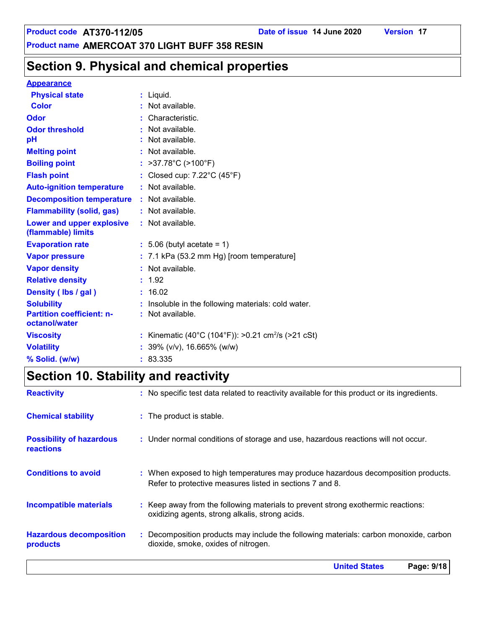## **Section 9. Physical and chemical properties**

#### **Appearance**

| <b>Physical state</b>                             | $:$ Liquid.                                                    |
|---------------------------------------------------|----------------------------------------------------------------|
| <b>Color</b>                                      | $:$ Not available.                                             |
| <b>Odor</b>                                       | : Characteristic.                                              |
| <b>Odor threshold</b>                             | $\cdot$ Not available.                                         |
| pH                                                | $:$ Not available.                                             |
| <b>Melting point</b>                              | : Not available.                                               |
| <b>Boiling point</b>                              | : $>37.78^{\circ}C$ ( $>100^{\circ}F$ )                        |
| <b>Flash point</b>                                | : Closed cup: 7.22°C (45°F)                                    |
| <b>Auto-ignition temperature</b>                  | : Not available.                                               |
| <b>Decomposition temperature</b>                  | : Not available.                                               |
| <b>Flammability (solid, gas)</b>                  | : Not available.                                               |
| Lower and upper explosive<br>(flammable) limits   | : Not available.                                               |
| <b>Evaporation rate</b>                           | $: 5.06$ (butyl acetate = 1)                                   |
| <b>Vapor pressure</b>                             | $: 7.1$ kPa (53.2 mm Hg) [room temperature]                    |
| <b>Vapor density</b>                              | : Not available.                                               |
| <b>Relative density</b>                           | : 1.92                                                         |
| Density (Ibs / gal)                               | : 16.02                                                        |
| <b>Solubility</b>                                 | : Insoluble in the following materials: cold water.            |
| <b>Partition coefficient: n-</b><br>octanol/water | : Not available.                                               |
| <b>Viscosity</b>                                  | : Kinematic (40°C (104°F)): >0.21 cm <sup>2</sup> /s (>21 cSt) |
| <b>Volatility</b>                                 | : $39\%$ (v/v), 16.665% (w/w)                                  |
| % Solid. (w/w)                                    | : 83.335                                                       |

## **Section 10. Stability and reactivity**

|                                                     | <b>United States</b><br>Page: 9/18                                                                                                            |
|-----------------------------------------------------|-----------------------------------------------------------------------------------------------------------------------------------------------|
| <b>Hazardous decomposition</b><br>products          | : Decomposition products may include the following materials: carbon monoxide, carbon<br>dioxide, smoke, oxides of nitrogen.                  |
| <b>Incompatible materials</b>                       | : Keep away from the following materials to prevent strong exothermic reactions:<br>oxidizing agents, strong alkalis, strong acids.           |
| <b>Conditions to avoid</b>                          | : When exposed to high temperatures may produce hazardous decomposition products.<br>Refer to protective measures listed in sections 7 and 8. |
| <b>Possibility of hazardous</b><br><b>reactions</b> | : Under normal conditions of storage and use, hazardous reactions will not occur.                                                             |
| <b>Chemical stability</b>                           | : The product is stable.                                                                                                                      |
| <b>Reactivity</b>                                   | : No specific test data related to reactivity available for this product or its ingredients.                                                  |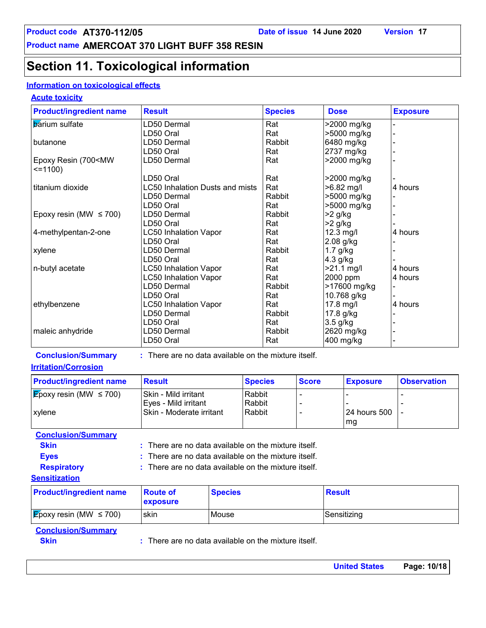## **Section 11. Toxicological information**

#### **Information on toxicological effects**

#### **Acute toxicity**

| <b>Product/ingredient name</b>                     | <b>Result</b>                                        |                |                | <b>Species</b> |              | <b>Dose</b>              |                 | <b>Exposure</b>    |
|----------------------------------------------------|------------------------------------------------------|----------------|----------------|----------------|--------------|--------------------------|-----------------|--------------------|
| <b>b</b> arium sulfate                             | LD50 Dermal                                          |                |                | Rat            |              |                          | >2000 mg/kg     |                    |
|                                                    | LD50 Oral                                            |                |                | Rat            |              |                          | >5000 mg/kg     |                    |
| butanone                                           | LD50 Dermal                                          |                |                | Rabbit         |              |                          | 6480 mg/kg      |                    |
|                                                    | LD50 Oral                                            |                |                | Rat            |              |                          | 2737 mg/kg      |                    |
| Epoxy Resin (700 <mw<br><math>=1100</math></mw<br> | LD50 Dermal                                          |                |                | Rat            |              |                          | >2000 mg/kg     |                    |
|                                                    | LD50 Oral                                            |                |                | Rat            |              |                          | >2000 mg/kg     |                    |
| titanium dioxide                                   | <b>LC50 Inhalation Dusts and mists</b>               |                |                | Rat            |              |                          | >6.82 mg/l      | 4 hours            |
|                                                    | LD50 Dermal                                          |                |                | Rabbit         |              |                          | >5000 mg/kg     |                    |
|                                                    | LD50 Oral                                            |                |                | Rat            |              |                          | >5000 mg/kg     |                    |
| Epoxy resin (MW $\leq$ 700)                        | LD50 Dermal                                          |                |                | Rabbit         |              | $>2$ g/kg                |                 |                    |
|                                                    | LD50 Oral                                            |                |                | Rat            |              | $>2$ g/kg                |                 |                    |
| 4-methylpentan-2-one                               | <b>LC50 Inhalation Vapor</b>                         |                |                | Rat            |              | 12.3 mg/l                |                 | 4 hours            |
|                                                    | LD50 Oral                                            |                |                | Rat            |              | 2.08 g/kg                |                 |                    |
| xylene                                             | LD50 Dermal                                          |                |                | Rabbit         |              | $1.7$ g/kg               |                 |                    |
|                                                    | LD50 Oral                                            |                |                | Rat            |              | 4.3 g/kg                 |                 |                    |
| n-butyl acetate                                    | <b>LC50 Inhalation Vapor</b>                         |                |                | Rat            |              |                          | $>21.1$ mg/l    | 4 hours            |
|                                                    | <b>LC50 Inhalation Vapor</b>                         |                |                | Rat            |              | 2000 ppm                 |                 | 4 hours            |
|                                                    | LD50 Dermal                                          |                |                | Rabbit         |              |                          | >17600 mg/kg    |                    |
|                                                    | LD50 Oral                                            |                |                | Rat            |              |                          |                 |                    |
| ethylbenzene                                       | <b>LC50 Inhalation Vapor</b>                         |                |                | Rat            |              | 10.768 g/kg<br>17.8 mg/l |                 | 4 hours            |
|                                                    | LD50 Dermal                                          |                |                | Rabbit         |              |                          |                 |                    |
|                                                    |                                                      |                |                |                |              | 17.8 g/kg                |                 |                    |
|                                                    | LD50 Oral                                            |                |                | Rat            |              | 3.5 g/kg                 |                 |                    |
| maleic anhydride                                   | LD50 Dermal                                          |                |                | Rabbit         |              |                          | 2620 mg/kg      |                    |
|                                                    | LD50 Oral                                            |                |                | Rat            |              |                          | 400 mg/kg       |                    |
| <b>Conclusion/Summary</b>                          | : There are no data available on the mixture itself. |                |                |                |              |                          |                 |                    |
| <b>Irritation/Corrosion</b>                        |                                                      |                |                |                |              |                          |                 |                    |
| <b>Product/ingredient name</b>                     | <b>Result</b>                                        |                | <b>Species</b> |                | <b>Score</b> |                          | <b>Exposure</b> | <b>Observation</b> |
| <b>Epoxy resin (MW <math>\leq</math> 700)</b>      | Skin - Mild irritant                                 |                | Rabbit         |                |              |                          |                 |                    |
|                                                    | Eyes - Mild irritant                                 |                | Rabbit         |                |              |                          |                 |                    |
| xylene                                             | Skin - Moderate irritant                             |                | Rabbit         |                |              |                          | 24 hours 500    |                    |
|                                                    |                                                      |                |                |                |              |                          | mg              |                    |
| <b>Conclusion/Summary</b>                          |                                                      |                |                |                |              |                          |                 |                    |
| <b>Skin</b>                                        | : There are no data available on the mixture itself. |                |                |                |              |                          |                 |                    |
| <b>Eyes</b>                                        | There are no data available on the mixture itself.   |                |                |                |              |                          |                 |                    |
| <b>Respiratory</b>                                 | : There are no data available on the mixture itself. |                |                |                |              |                          |                 |                    |
|                                                    |                                                      |                |                |                |              |                          |                 |                    |
| <b>Sensitization</b>                               |                                                      |                |                |                |              |                          |                 |                    |
| <b>Product/ingredient name</b>                     | <b>Route of</b>                                      | <b>Species</b> |                |                |              | <b>Result</b>            |                 |                    |
|                                                    | exposure                                             |                |                |                |              |                          |                 |                    |
| $\mathcal{E}_{\text{poxy}}$ resin (MW $\leq$ 700)  | skin                                                 | Mouse          |                |                |              |                          | Sensitizing     |                    |
|                                                    |                                                      |                |                |                |              |                          |                 |                    |

#### **Conclusion/Summary**

**Skin Example 20 :** There are no data available on the mixture itself.

| <b>United States</b> | Page: 10/18 |  |
|----------------------|-------------|--|
|                      |             |  |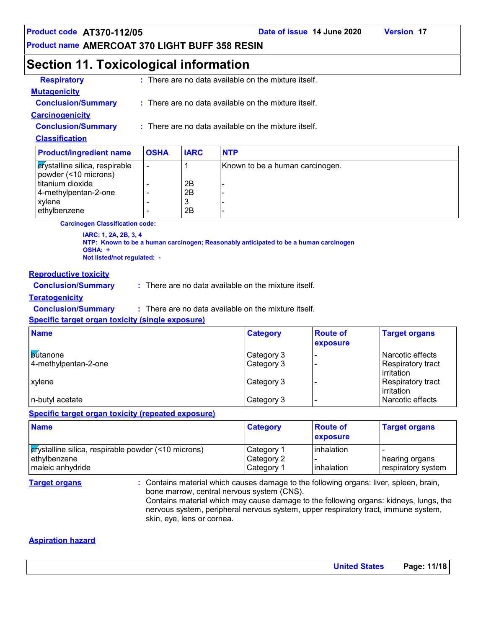#### **Product name AMERCOAT 370 LIGHT BUFF 358 RESIN**

## **Section 11. Toxicological information**

| <b>Classification</b>     |  |                                                                 |
|---------------------------|--|-----------------------------------------------------------------|
| <b>Conclusion/Summary</b> |  | $\therefore$ There are no data available on the mixture itself. |
| <b>Carcinogenicity</b>    |  |                                                                 |
| <b>Conclusion/Summary</b> |  | $\therefore$ There are no data available on the mixture itself. |
| <b>Mutagenicity</b>       |  |                                                                 |
| <b>Respiratory</b>        |  | : There are no data available on the mixture itself.            |

| <b>Product/ingredient name</b>                                   | <b>OSHA</b> | <b>IARC</b> | <b>NTP</b>                      |
|------------------------------------------------------------------|-------------|-------------|---------------------------------|
| $\epsilon$ rystalline silica, respirable<br>powder (<10 microns) |             |             | Known to be a human carcinogen. |
| titanium dioxide                                                 |             | 2B          |                                 |
| 4-methylpentan-2-one                                             |             | 2B          |                                 |
| xylene                                                           |             | J           |                                 |
| ethylbenzene                                                     |             | 2B          |                                 |

**Carcinogen Classification code:**

**IARC: 1, 2A, 2B, 3, 4 NTP: Known to be a human carcinogen; Reasonably anticipated to be a human carcinogen OSHA: + Not listed/not regulated: -**

#### **Reproductive toxicity**

**Conclusion/Summary :** There are no data available on the mixture itself.

#### **Teratogenicity**

**Conclusion/Summary :** There are no data available on the mixture itself.

**Specific target organ toxicity (single exposure)**

| <b>Name</b>                             | <b>Category</b>          | <b>Route of</b><br>exposure | <b>Target organs</b>                                |
|-----------------------------------------|--------------------------|-----------------------------|-----------------------------------------------------|
| <b>butanone</b><br>4-methylpentan-2-one | Category 3<br>Category 3 |                             | Narcotic effects<br>Respiratory tract<br>irritation |
| <b>Lxvlene</b>                          | Category 3               |                             | Respiratory tract<br>irritation                     |
| n-butyl acetate                         | Category 3               |                             | Narcotic effects                                    |

#### **Specific target organ toxicity (repeated exposure)**

| <b>Name</b>                                                                                 | <b>Category</b>                        | <b>Route of</b><br>exposure | <b>Target organs</b>                   |
|---------------------------------------------------------------------------------------------|----------------------------------------|-----------------------------|----------------------------------------|
| $ $ erystalline silica, respirable powder (<10 microns)<br>ethylbenzene<br>maleic anhydride | Category 1<br>Category 2<br>Category 1 | linhalation<br>linhalation  | ∣ hearing organs<br>respiratory system |

**Target organs :** Contains material which causes damage to the following organs: liver, spleen, brain, bone marrow, central nervous system (CNS). Contains material which may cause damage to the following organs: kidneys, lungs, the nervous system, peripheral nervous system, upper respiratory tract, immune system, skin, eye, lens or cornea.

#### **Aspiration hazard**

| <b>United States</b> | Page: 11/18 |
|----------------------|-------------|
|                      |             |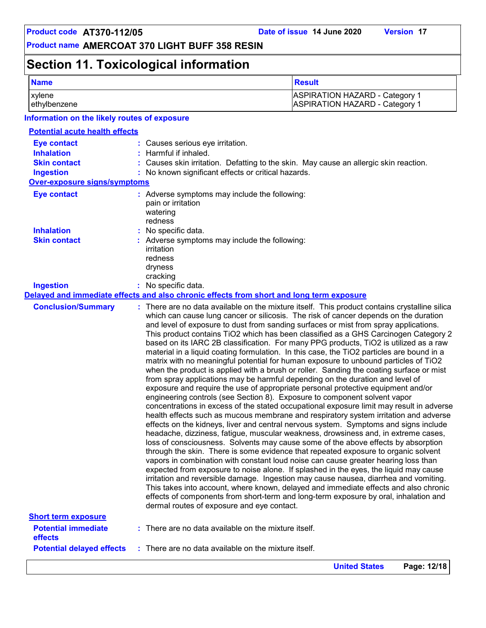## **Section 11. Toxicological information**

| <b>Name</b>                                                                        |                                                                                                                | <b>Result</b>                                                                                                                                                                                                                                                                                                                                                                                                                                                                                                                                                                                                                                                                                                                                                                                                                                                                                                                                                                                                                                                                                                                                                                                                                                                                                                                                                                                                                                                                                                                                                                                                                                                                                                                                                                                                                                                                                                                                                                                     |
|------------------------------------------------------------------------------------|----------------------------------------------------------------------------------------------------------------|---------------------------------------------------------------------------------------------------------------------------------------------------------------------------------------------------------------------------------------------------------------------------------------------------------------------------------------------------------------------------------------------------------------------------------------------------------------------------------------------------------------------------------------------------------------------------------------------------------------------------------------------------------------------------------------------------------------------------------------------------------------------------------------------------------------------------------------------------------------------------------------------------------------------------------------------------------------------------------------------------------------------------------------------------------------------------------------------------------------------------------------------------------------------------------------------------------------------------------------------------------------------------------------------------------------------------------------------------------------------------------------------------------------------------------------------------------------------------------------------------------------------------------------------------------------------------------------------------------------------------------------------------------------------------------------------------------------------------------------------------------------------------------------------------------------------------------------------------------------------------------------------------------------------------------------------------------------------------------------------------|
| xylene<br>ethylbenzene                                                             |                                                                                                                | <b>ASPIRATION HAZARD - Category 1</b><br><b>ASPIRATION HAZARD - Category 1</b>                                                                                                                                                                                                                                                                                                                                                                                                                                                                                                                                                                                                                                                                                                                                                                                                                                                                                                                                                                                                                                                                                                                                                                                                                                                                                                                                                                                                                                                                                                                                                                                                                                                                                                                                                                                                                                                                                                                    |
| Information on the likely routes of exposure                                       |                                                                                                                |                                                                                                                                                                                                                                                                                                                                                                                                                                                                                                                                                                                                                                                                                                                                                                                                                                                                                                                                                                                                                                                                                                                                                                                                                                                                                                                                                                                                                                                                                                                                                                                                                                                                                                                                                                                                                                                                                                                                                                                                   |
| <b>Potential acute health effects</b>                                              |                                                                                                                |                                                                                                                                                                                                                                                                                                                                                                                                                                                                                                                                                                                                                                                                                                                                                                                                                                                                                                                                                                                                                                                                                                                                                                                                                                                                                                                                                                                                                                                                                                                                                                                                                                                                                                                                                                                                                                                                                                                                                                                                   |
| <b>Eye contact</b><br><b>Inhalation</b><br><b>Skin contact</b><br><b>Ingestion</b> | : Causes serious eye irritation.<br>Harmful if inhaled.<br>: No known significant effects or critical hazards. | : Causes skin irritation. Defatting to the skin. May cause an allergic skin reaction.                                                                                                                                                                                                                                                                                                                                                                                                                                                                                                                                                                                                                                                                                                                                                                                                                                                                                                                                                                                                                                                                                                                                                                                                                                                                                                                                                                                                                                                                                                                                                                                                                                                                                                                                                                                                                                                                                                             |
| <b>Over-exposure signs/symptoms</b>                                                |                                                                                                                |                                                                                                                                                                                                                                                                                                                                                                                                                                                                                                                                                                                                                                                                                                                                                                                                                                                                                                                                                                                                                                                                                                                                                                                                                                                                                                                                                                                                                                                                                                                                                                                                                                                                                                                                                                                                                                                                                                                                                                                                   |
| <b>Eye contact</b>                                                                 | : Adverse symptoms may include the following:<br>pain or irritation<br>watering<br>redness                     |                                                                                                                                                                                                                                                                                                                                                                                                                                                                                                                                                                                                                                                                                                                                                                                                                                                                                                                                                                                                                                                                                                                                                                                                                                                                                                                                                                                                                                                                                                                                                                                                                                                                                                                                                                                                                                                                                                                                                                                                   |
| <b>Inhalation</b>                                                                  | No specific data.                                                                                              |                                                                                                                                                                                                                                                                                                                                                                                                                                                                                                                                                                                                                                                                                                                                                                                                                                                                                                                                                                                                                                                                                                                                                                                                                                                                                                                                                                                                                                                                                                                                                                                                                                                                                                                                                                                                                                                                                                                                                                                                   |
| <b>Skin contact</b>                                                                | : Adverse symptoms may include the following:<br>irritation<br>redness<br>dryness<br>cracking                  |                                                                                                                                                                                                                                                                                                                                                                                                                                                                                                                                                                                                                                                                                                                                                                                                                                                                                                                                                                                                                                                                                                                                                                                                                                                                                                                                                                                                                                                                                                                                                                                                                                                                                                                                                                                                                                                                                                                                                                                                   |
| <b>Ingestion</b>                                                                   | : No specific data.                                                                                            |                                                                                                                                                                                                                                                                                                                                                                                                                                                                                                                                                                                                                                                                                                                                                                                                                                                                                                                                                                                                                                                                                                                                                                                                                                                                                                                                                                                                                                                                                                                                                                                                                                                                                                                                                                                                                                                                                                                                                                                                   |
|                                                                                    | Delayed and immediate effects and also chronic effects from short and long term exposure                       |                                                                                                                                                                                                                                                                                                                                                                                                                                                                                                                                                                                                                                                                                                                                                                                                                                                                                                                                                                                                                                                                                                                                                                                                                                                                                                                                                                                                                                                                                                                                                                                                                                                                                                                                                                                                                                                                                                                                                                                                   |
| <b>Conclusion/Summary</b>                                                          | dermal routes of exposure and eye contact.                                                                     | : There are no data available on the mixture itself. This product contains crystalline silica<br>which can cause lung cancer or silicosis. The risk of cancer depends on the duration<br>and level of exposure to dust from sanding surfaces or mist from spray applications.<br>This product contains TiO2 which has been classified as a GHS Carcinogen Category 2<br>based on its IARC 2B classification. For many PPG products, TiO2 is utilized as a raw<br>material in a liquid coating formulation. In this case, the TiO2 particles are bound in a<br>matrix with no meaningful potential for human exposure to unbound particles of TiO2<br>when the product is applied with a brush or roller. Sanding the coating surface or mist<br>from spray applications may be harmful depending on the duration and level of<br>exposure and require the use of appropriate personal protective equipment and/or<br>engineering controls (see Section 8). Exposure to component solvent vapor<br>concentrations in excess of the stated occupational exposure limit may result in adverse<br>health effects such as mucous membrane and respiratory system irritation and adverse<br>effects on the kidneys, liver and central nervous system. Symptoms and signs include<br>headache, dizziness, fatigue, muscular weakness, drowsiness and, in extreme cases,<br>loss of consciousness. Solvents may cause some of the above effects by absorption<br>through the skin. There is some evidence that repeated exposure to organic solvent<br>vapors in combination with constant loud noise can cause greater hearing loss than<br>expected from exposure to noise alone. If splashed in the eyes, the liquid may cause<br>irritation and reversible damage. Ingestion may cause nausea, diarrhea and vomiting.<br>This takes into account, where known, delayed and immediate effects and also chronic<br>effects of components from short-term and long-term exposure by oral, inhalation and |
| <b>Short term exposure</b><br><b>Potential immediate</b>                           | : There are no data available on the mixture itself.                                                           |                                                                                                                                                                                                                                                                                                                                                                                                                                                                                                                                                                                                                                                                                                                                                                                                                                                                                                                                                                                                                                                                                                                                                                                                                                                                                                                                                                                                                                                                                                                                                                                                                                                                                                                                                                                                                                                                                                                                                                                                   |
| effects<br><b>Potential delayed effects</b>                                        | : There are no data available on the mixture itself.                                                           |                                                                                                                                                                                                                                                                                                                                                                                                                                                                                                                                                                                                                                                                                                                                                                                                                                                                                                                                                                                                                                                                                                                                                                                                                                                                                                                                                                                                                                                                                                                                                                                                                                                                                                                                                                                                                                                                                                                                                                                                   |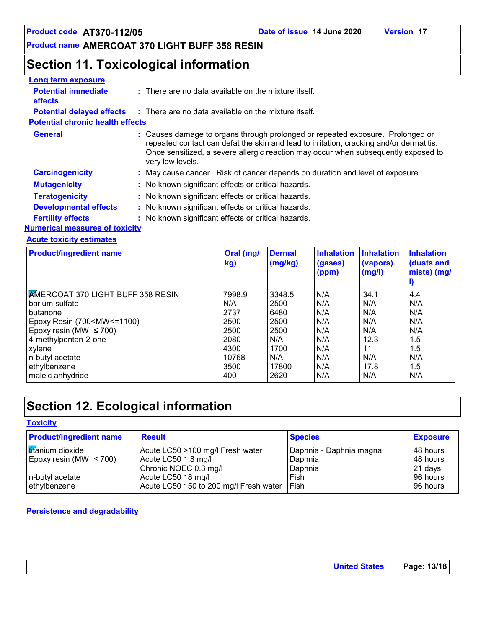## **Product name AMERCOAT 370 LIGHT BUFF 358 RESIN**

## **Section 11. Toxicological information**

| Long term exposure                           |                                                                                                                                                                                                                                                                                   |
|----------------------------------------------|-----------------------------------------------------------------------------------------------------------------------------------------------------------------------------------------------------------------------------------------------------------------------------------|
| <b>Potential immediate</b><br><b>effects</b> | : There are no data available on the mixture itself.                                                                                                                                                                                                                              |
| <b>Potential delayed effects</b>             | : There are no data available on the mixture itself.                                                                                                                                                                                                                              |
| <b>Potential chronic health effects</b>      |                                                                                                                                                                                                                                                                                   |
| <b>General</b>                               | Causes damage to organs through prolonged or repeated exposure. Prolonged or<br>repeated contact can defat the skin and lead to irritation, cracking and/or dermatitis.<br>Once sensitized, a severe allergic reaction may occur when subsequently exposed to<br>very low levels. |
| <b>Carcinogenicity</b>                       | : May cause cancer. Risk of cancer depends on duration and level of exposure.                                                                                                                                                                                                     |
| <b>Mutagenicity</b>                          | : No known significant effects or critical hazards.                                                                                                                                                                                                                               |
| <b>Teratogenicity</b>                        | : No known significant effects or critical hazards.                                                                                                                                                                                                                               |
| <b>Developmental effects</b>                 | : No known significant effects or critical hazards.                                                                                                                                                                                                                               |
| <b>Fertility effects</b>                     | No known significant effects or critical hazards.                                                                                                                                                                                                                                 |
| <b>Numerical measures of toxicity</b>        |                                                                                                                                                                                                                                                                                   |

#### **Acute toxicity estimates**

| <b>Product/ingredient name</b>                                                                                 | Oral (mg/<br>kg) | <b>Dermal</b><br>(mg/kg) | Inhalation<br>(gases)<br>(ppm) | <b>Inhalation</b><br>(vapors)<br>(mg/l) | <b>Inhalation</b><br>(dusts and<br>mists) (mg/ |
|----------------------------------------------------------------------------------------------------------------|------------------|--------------------------|--------------------------------|-----------------------------------------|------------------------------------------------|
| <b>AMERCOAT 370 LIGHT BUFF 358 RESIN</b>                                                                       | 7998.9           | 3348.5                   | N/A                            | 34.1                                    | 4.4                                            |
| barium sulfate                                                                                                 | N/A              | 2500                     | N/A                            | N/A                                     | N/A                                            |
| butanone                                                                                                       | 2737             | 6480                     | N/A                            | N/A                                     | N/A                                            |
| Epoxy Resin (700 <mw<=1100)< td=""><td>2500</td><td>2500</td><td>N/A</td><td>N/A</td><td>N/A</td></mw<=1100)<> | 2500             | 2500                     | N/A                            | N/A                                     | N/A                                            |
| Epoxy resin (MW $\leq$ 700)                                                                                    | 2500             | 2500                     | N/A                            | N/A                                     | N/A                                            |
| 4-methylpentan-2-one                                                                                           | 2080             | N/A                      | N/A                            | 12.3                                    | 1.5                                            |
| xylene                                                                                                         | 4300             | 1700                     | N/A                            | 11                                      | 1.5                                            |
| n-butyl acetate                                                                                                | 10768            | N/A                      | N/A                            | N/A                                     | N/A                                            |
| ethylbenzene                                                                                                   | 3500             | 17800                    | N/A                            | 17.8                                    | 1.5                                            |
| maleic anhydride                                                                                               | 400              | 2620                     | N/A                            | N/A                                     | N/A                                            |

## **Section 12. Ecological information**

**Toxicity**

| <b>Product/ingredient name</b> | <b>Result</b>                          | <b>Species</b>          | <b>Exposure</b> |
|--------------------------------|----------------------------------------|-------------------------|-----------------|
| <b>Iticanium</b> dioxide       | Acute LC50 >100 mg/l Fresh water       | Daphnia - Daphnia magna | l 48 hours      |
| Epoxy resin (MW $\leq$ 700)    | Acute LC50 1.8 mg/l                    | Daphnia                 | 48 hours        |
|                                | Chronic NOEC 0.3 mg/l                  | Daphnia                 | 21 days         |
| n-butyl acetate                | Acute LC50 18 mg/l                     | Fish                    | 96 hours        |
| ethylbenzene                   | Acute LC50 150 to 200 mg/l Fresh water | <b>Fish</b>             | l 96 hours      |

#### **Persistence and degradability**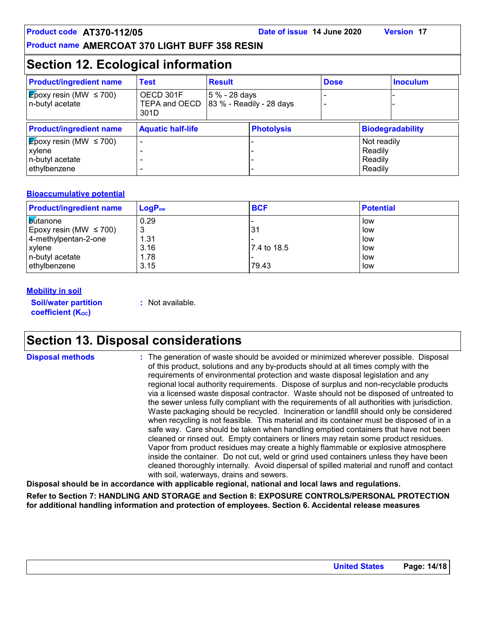## **Section 12. Ecological information**

| <b>Product/ingredient name</b>                                                        | <b>Test</b>                        | <b>Result</b> |                              | <b>Dose</b> |                                              | <b>Inoculum</b>         |
|---------------------------------------------------------------------------------------|------------------------------------|---------------|------------------------------|-------------|----------------------------------------------|-------------------------|
| $\sqrt{\mathsf{E}}$ poxy resin (MW $\leq 700$ )<br>n-butyl acetate                    | OECD 301F<br>TEPA and OECD<br>301D | 5 % - 28 days | $ 83 \%$ - Readily - 28 days |             |                                              |                         |
| <b>Product/ingredient name</b>                                                        | <b>Aquatic half-life</b>           |               | <b>Photolysis</b>            |             |                                              | <b>Biodegradability</b> |
| $ \mathbf{E}$ poxy resin (MW $\leq$ 700)<br>xylene<br>n-butyl acetate<br>ethylbenzene |                                    |               |                              |             | Not readily<br>Readily<br>Readily<br>Readily |                         |

#### **Bioaccumulative potential**

| <b>Product/ingredient name</b> | $LogP_{ow}$ | <b>BCF</b>  | <b>Potential</b> |
|--------------------------------|-------------|-------------|------------------|
| <b>b</b> utanone               | 0.29        |             | low              |
| Epoxy resin (MW $\leq$ 700)    | ົ<br>J      | 31          | low              |
| 4-methylpentan-2-one           | 1.31        |             | low              |
| <b>xylene</b>                  | 3.16        | 7.4 to 18.5 | low              |
| n-butyl acetate                | 1.78        |             | low              |
| ethylbenzene                   | 3.15        | 79.43       | low              |

#### **Mobility in soil**

**Soil/water partition coefficient (K**<sup>oc</sup>)

**:** Not available.

## **Section 13. Disposal considerations**

**Disposal methods :**

The generation of waste should be avoided or minimized wherever possible. Disposal of this product, solutions and any by-products should at all times comply with the requirements of environmental protection and waste disposal legislation and any regional local authority requirements. Dispose of surplus and non-recyclable products via a licensed waste disposal contractor. Waste should not be disposed of untreated to the sewer unless fully compliant with the requirements of all authorities with jurisdiction. Waste packaging should be recycled. Incineration or landfill should only be considered when recycling is not feasible. This material and its container must be disposed of in a safe way. Care should be taken when handling emptied containers that have not been cleaned or rinsed out. Empty containers or liners may retain some product residues. Vapor from product residues may create a highly flammable or explosive atmosphere inside the container. Do not cut, weld or grind used containers unless they have been cleaned thoroughly internally. Avoid dispersal of spilled material and runoff and contact with soil, waterways, drains and sewers.

**Disposal should be in accordance with applicable regional, national and local laws and regulations.**

**Refer to Section 7: HANDLING AND STORAGE and Section 8: EXPOSURE CONTROLS/PERSONAL PROTECTION for additional handling information and protection of employees. Section 6. Accidental release measures**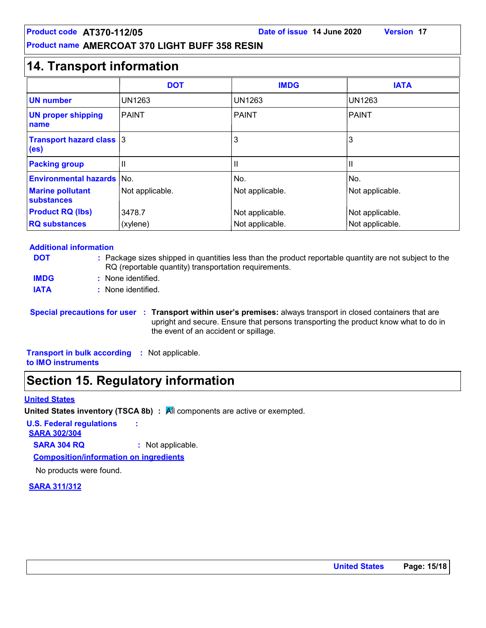## **14. Transport information**

|                                                      | <b>DOT</b>      | <b>IMDG</b>     | <b>IATA</b>     |
|------------------------------------------------------|-----------------|-----------------|-----------------|
| <b>UN number</b>                                     | <b>UN1263</b>   | <b>UN1263</b>   | <b>UN1263</b>   |
| <b>UN proper shipping</b><br>name                    | <b>PAINT</b>    | <b>PAINT</b>    | PAINT           |
| <b>Transport hazard class 3</b><br>(e <sub>s</sub> ) |                 | 3               | 3               |
| <b>Packing group</b>                                 | $\mathbf{  }$   | Ш               | Ш               |
| <b>Environmental hazards   No.</b>                   |                 | No.             | INo.            |
| <b>Marine pollutant</b><br>substances                | Not applicable. | Not applicable. | Not applicable. |
| <b>Product RQ (lbs)</b>                              | 3478.7          | Not applicable. | Not applicable. |
| <b>RQ substances</b>                                 | (xylene)        | Not applicable. | Not applicable. |

#### **Additional information**

| <b>DOT</b>  | : Package sizes shipped in quantities less than the product reportable quantity are not subject to the<br>RQ (reportable quantity) transportation requirements. |
|-------------|-----------------------------------------------------------------------------------------------------------------------------------------------------------------|
| <b>IMDG</b> | : None identified.                                                                                                                                              |
| <b>IATA</b> | : None identified.                                                                                                                                              |

**Special precautions for user Transport within user's premises:** always transport in closed containers that are **:** upright and secure. Ensure that persons transporting the product know what to do in the event of an accident or spillage.

**Transport in bulk according :** Not applicable. **to IMO instruments**

## **Section 15. Regulatory information**

#### **United States**

**United States inventory (TSCA 8b) : All components are active or exempted.** 

**U.S. Federal regulations :**

**SARA 302/304**

**SARA 304 RQ :** Not applicable.

**Composition/information on ingredients**

No products were found.

#### **SARA 311/312**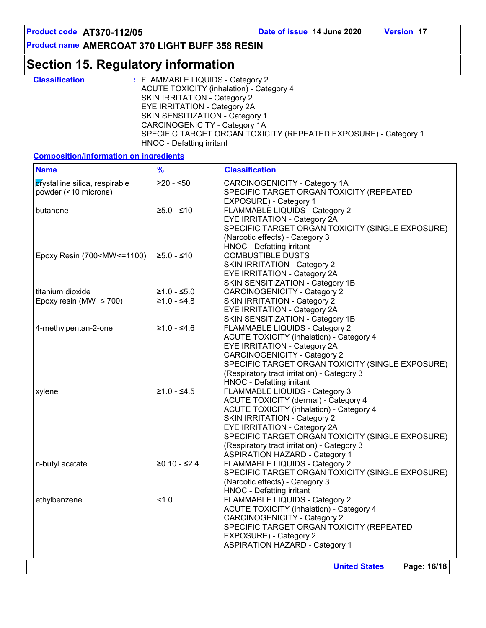**Product name AMERCOAT 370 LIGHT BUFF 358 RESIN**

## **Section 15. Regulatory information**

| <b>Classification</b> | : FLAMMABLE LIQUIDS - Category 2                                |
|-----------------------|-----------------------------------------------------------------|
|                       | ACUTE TOXICITY (inhalation) - Category 4                        |
|                       | SKIN IRRITATION - Category 2                                    |
|                       | <b>EYE IRRITATION - Category 2A</b>                             |
|                       | SKIN SENSITIZATION - Category 1                                 |
|                       | CARCINOGENICITY - Category 1A                                   |
|                       | SPECIFIC TARGET ORGAN TOXICITY (REPEATED EXPOSURE) - Category 1 |
|                       | HNOC - Defatting irritant                                       |

**Composition/information on ingredients**

| <b>Name</b>                                                                                                                                                                                                                     | $\frac{9}{6}$  | <b>Classification</b>                                                                                                                                                                     |
|---------------------------------------------------------------------------------------------------------------------------------------------------------------------------------------------------------------------------------|----------------|-------------------------------------------------------------------------------------------------------------------------------------------------------------------------------------------|
| crystalline silica, respirable<br>powder (<10 microns)                                                                                                                                                                          | $≥20 - ≤50$    | CARCINOGENICITY - Category 1A<br>SPECIFIC TARGET ORGAN TOXICITY (REPEATED<br>EXPOSURE) - Category 1                                                                                       |
| butanone                                                                                                                                                                                                                        | $≥5.0 - ≤10$   | FLAMMABLE LIQUIDS - Category 2<br>EYE IRRITATION - Category 2A<br>SPECIFIC TARGET ORGAN TOXICITY (SINGLE EXPOSURE)<br>(Narcotic effects) - Category 3<br><b>HNOC - Defatting irritant</b> |
| Epoxy Resin (700 <mw<=1100)< td=""><td><math>≥5.0 - ≤10</math></td><td><b>COMBUSTIBLE DUSTS</b><br/><b>SKIN IRRITATION - Category 2</b><br/>EYE IRRITATION - Category 2A<br/>SKIN SENSITIZATION - Category 1B</td></mw<=1100)<> | $≥5.0 - ≤10$   | <b>COMBUSTIBLE DUSTS</b><br><b>SKIN IRRITATION - Category 2</b><br>EYE IRRITATION - Category 2A<br>SKIN SENSITIZATION - Category 1B                                                       |
| titanium dioxide                                                                                                                                                                                                                | $≥1.0 - ≤5.0$  | <b>CARCINOGENICITY - Category 2</b>                                                                                                                                                       |
| Epoxy resin (MW $\leq$ 700)                                                                                                                                                                                                     | $≥1.0 - ≤4.8$  | <b>SKIN IRRITATION - Category 2</b>                                                                                                                                                       |
|                                                                                                                                                                                                                                 |                | <b>EYE IRRITATION - Category 2A</b>                                                                                                                                                       |
|                                                                                                                                                                                                                                 |                | SKIN SENSITIZATION - Category 1B                                                                                                                                                          |
| 4-methylpentan-2-one                                                                                                                                                                                                            | ≥1.0 - ≤4.6    | FLAMMABLE LIQUIDS - Category 2                                                                                                                                                            |
|                                                                                                                                                                                                                                 |                | <b>ACUTE TOXICITY (inhalation) - Category 4</b>                                                                                                                                           |
|                                                                                                                                                                                                                                 |                | EYE IRRITATION - Category 2A                                                                                                                                                              |
|                                                                                                                                                                                                                                 |                | <b>CARCINOGENICITY - Category 2</b>                                                                                                                                                       |
|                                                                                                                                                                                                                                 |                | SPECIFIC TARGET ORGAN TOXICITY (SINGLE EXPOSURE)                                                                                                                                          |
|                                                                                                                                                                                                                                 |                | (Respiratory tract irritation) - Category 3                                                                                                                                               |
|                                                                                                                                                                                                                                 |                | HNOC - Defatting irritant                                                                                                                                                                 |
| xylene                                                                                                                                                                                                                          | $≥1.0 - ≤4.5$  | FLAMMABLE LIQUIDS - Category 3                                                                                                                                                            |
|                                                                                                                                                                                                                                 |                | <b>ACUTE TOXICITY (dermal) - Category 4</b>                                                                                                                                               |
|                                                                                                                                                                                                                                 |                | <b>ACUTE TOXICITY (inhalation) - Category 4</b>                                                                                                                                           |
|                                                                                                                                                                                                                                 |                | <b>SKIN IRRITATION - Category 2</b>                                                                                                                                                       |
|                                                                                                                                                                                                                                 |                | EYE IRRITATION - Category 2A                                                                                                                                                              |
|                                                                                                                                                                                                                                 |                | SPECIFIC TARGET ORGAN TOXICITY (SINGLE EXPOSURE)                                                                                                                                          |
|                                                                                                                                                                                                                                 |                | (Respiratory tract irritation) - Category 3                                                                                                                                               |
|                                                                                                                                                                                                                                 |                | <b>ASPIRATION HAZARD - Category 1</b>                                                                                                                                                     |
| n-butyl acetate                                                                                                                                                                                                                 | $≥0.10 - ≤2.4$ | FLAMMABLE LIQUIDS - Category 2                                                                                                                                                            |
|                                                                                                                                                                                                                                 |                | SPECIFIC TARGET ORGAN TOXICITY (SINGLE EXPOSURE)                                                                                                                                          |
|                                                                                                                                                                                                                                 |                | (Narcotic effects) - Category 3                                                                                                                                                           |
|                                                                                                                                                                                                                                 | 1.0            | HNOC - Defatting irritant                                                                                                                                                                 |
| ethylbenzene                                                                                                                                                                                                                    |                | FLAMMABLE LIQUIDS - Category 2<br><b>ACUTE TOXICITY (inhalation) - Category 4</b>                                                                                                         |
|                                                                                                                                                                                                                                 |                |                                                                                                                                                                                           |
|                                                                                                                                                                                                                                 |                | <b>CARCINOGENICITY - Category 2</b><br>SPECIFIC TARGET ORGAN TOXICITY (REPEATED                                                                                                           |
|                                                                                                                                                                                                                                 |                | EXPOSURE) - Category 2                                                                                                                                                                    |
|                                                                                                                                                                                                                                 |                | <b>ASPIRATION HAZARD - Category 1</b>                                                                                                                                                     |
|                                                                                                                                                                                                                                 |                |                                                                                                                                                                                           |
|                                                                                                                                                                                                                                 |                | <b>United States</b><br>Page: 16/18                                                                                                                                                       |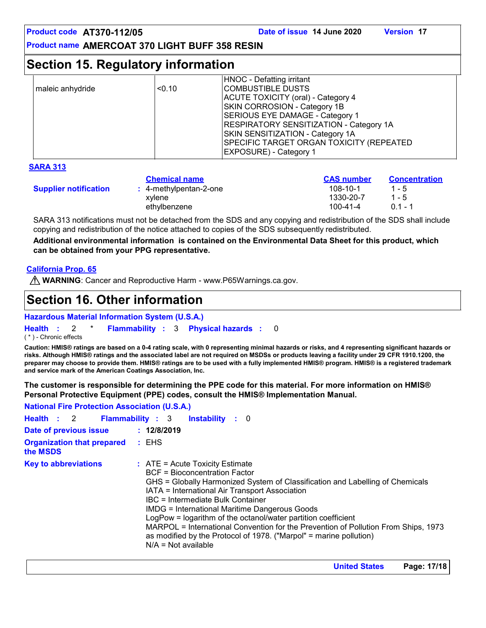| Product code AT370-112/05<br><b>Product name AMERCOAT 370 LIGHT BUFF 358 RESIN</b> |                                                                          | Date of issue 14 June 2020                                                                                                                                                                                                                                                                                                 | <b>Version 17</b>                                       |
|------------------------------------------------------------------------------------|--------------------------------------------------------------------------|----------------------------------------------------------------------------------------------------------------------------------------------------------------------------------------------------------------------------------------------------------------------------------------------------------------------------|---------------------------------------------------------|
| <b>Section 15. Regulatory information</b>                                          |                                                                          |                                                                                                                                                                                                                                                                                                                            |                                                         |
| maleic anhydride                                                                   | < 0.10                                                                   | HNOC - Defatting irritant<br><b>COMBUSTIBLE DUSTS</b><br><b>ACUTE TOXICITY (oral) - Category 4</b><br>SKIN CORROSION - Category 1B<br>SERIOUS EYE DAMAGE - Category 1<br>RESPIRATORY SENSITIZATION - Category 1A<br>SKIN SENSITIZATION - Category 1A<br>SPECIFIC TARGET ORGAN TOXICITY (REPEATED<br>EXPOSURE) - Category 1 |                                                         |
| <b>SARA 313</b>                                                                    |                                                                          |                                                                                                                                                                                                                                                                                                                            |                                                         |
| <b>Supplier notification</b>                                                       | <b>Chemical name</b><br>: 4-methylpentan-2-one<br>xylene<br>ethylbenzene | <b>CAS number</b><br>$108 - 10 - 1$<br>1330-20-7<br>100-41-4                                                                                                                                                                                                                                                               | <b>Concentration</b><br>$1 - 5$<br>$1 - 5$<br>$0.1 - 1$ |
|                                                                                    |                                                                          | SARA 313 notifications must not be detached from the SDS and any copying and redistribution of the SDS shall include<br>copying and redistribution of the notice attached to copies of the SDS subsequently redistributed.                                                                                                 |                                                         |

**Additional environmental information is contained on the Environmental Data Sheet for this product, which can be obtained from your PPG representative.**

#### **California Prop. 65**

**WARNING**: Cancer and Reproductive Harm - www.P65Warnings.ca.gov.

## **Section 16. Other information**

**Hazardous Material Information System (U.S.A.)**

**Health** : 2 \* **Flammability** : 3 **Physical hazards** : 0 0

( \* ) - Chronic effects

**Caution: HMIS® ratings are based on a 0-4 rating scale, with 0 representing minimal hazards or risks, and 4 representing significant hazards or risks. Although HMIS® ratings and the associated label are not required on MSDSs or products leaving a facility under 29 CFR 1910.1200, the preparer may choose to provide them. HMIS® ratings are to be used with a fully implemented HMIS® program. HMIS® is a registered trademark and service mark of the American Coatings Association, Inc.**

**The customer is responsible for determining the PPE code for this material. For more information on HMIS® Personal Protective Equipment (PPE) codes, consult the HMIS® Implementation Manual.**

**National Fire Protection Association (U.S.A.)**

| <b>Health : 2 Flammability : 3</b>            | <b>Instability</b> : 0                                                                                                                                                                                                                                                                                                                                                                                                                                                                                                                                            |
|-----------------------------------------------|-------------------------------------------------------------------------------------------------------------------------------------------------------------------------------------------------------------------------------------------------------------------------------------------------------------------------------------------------------------------------------------------------------------------------------------------------------------------------------------------------------------------------------------------------------------------|
| Date of previous issue                        | : 12/8/2019                                                                                                                                                                                                                                                                                                                                                                                                                                                                                                                                                       |
| <b>Organization that prepared</b><br>the MSDS | : EHS                                                                                                                                                                                                                                                                                                                                                                                                                                                                                                                                                             |
| <b>Key to abbreviations</b>                   | $\therefore$ ATE = Acute Toxicity Estimate<br><b>BCF</b> = Bioconcentration Factor<br>GHS = Globally Harmonized System of Classification and Labelling of Chemicals<br>IATA = International Air Transport Association<br>IBC = Intermediate Bulk Container<br>IMDG = International Maritime Dangerous Goods<br>LogPow = logarithm of the octanol/water partition coefficient<br>MARPOL = International Convention for the Prevention of Pollution From Ships, 1973<br>as modified by the Protocol of 1978. ("Marpol" = marine pollution)<br>$N/A = Not available$ |

**United States Page: 17/18**